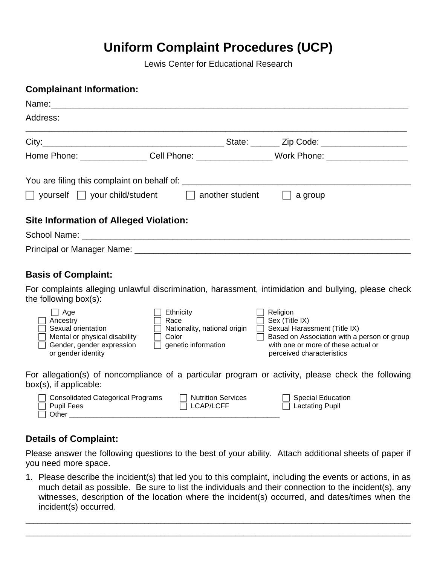## **Uniform Complaint Procedures (UCP)**

Lewis Center for Educational Research

| <b>Complainant Information:</b>                                                                                                  |                                                                                   |                           |                                                                                                                                                                               |
|----------------------------------------------------------------------------------------------------------------------------------|-----------------------------------------------------------------------------------|---------------------------|-------------------------------------------------------------------------------------------------------------------------------------------------------------------------------|
| Name: when the contract of the contract of the contract of the contract of the contract of the contract of the                   |                                                                                   |                           |                                                                                                                                                                               |
| Address:                                                                                                                         |                                                                                   |                           |                                                                                                                                                                               |
|                                                                                                                                  |                                                                                   |                           |                                                                                                                                                                               |
|                                                                                                                                  |                                                                                   |                           | Home Phone: _________________Cell Phone: ___________________Work Phone: ____________________________                                                                          |
|                                                                                                                                  |                                                                                   |                           |                                                                                                                                                                               |
| $\Box$ yourself $\Box$ your child/student $\Box$ another student                                                                 |                                                                                   |                           | a group                                                                                                                                                                       |
| <b>Site Information of Alleged Violation:</b>                                                                                    |                                                                                   |                           |                                                                                                                                                                               |
|                                                                                                                                  |                                                                                   |                           |                                                                                                                                                                               |
|                                                                                                                                  |                                                                                   |                           |                                                                                                                                                                               |
| <b>Basis of Complaint:</b>                                                                                                       |                                                                                   |                           |                                                                                                                                                                               |
| the following box(s):                                                                                                            |                                                                                   |                           | For complaints alleging unlawful discrimination, harassment, intimidation and bullying, please check                                                                          |
| $\Box$ Age<br>Ancestry<br>Sexual orientation<br>Mental or physical disability<br>Gender, gender expression<br>or gender identity | Ethnicity<br>Race<br>Nationality, national origin<br>Color<br>genetic information |                           | Religion<br>Sex (Title IX)<br>Sexual Harassment (Title IX)<br>Based on Association with a person or group<br>with one or more of these actual or<br>perceived characteristics |
| $box(s)$ , if applicable:                                                                                                        |                                                                                   |                           | For allegation(s) of noncompliance of a particular program or activity, please check the following                                                                            |
| <b>Consolidated Categorical Programs</b><br><b>Pupil Fees</b><br>Other                                                           | <b>LCAP/LCFF</b>                                                                  | <b>Nutrition Services</b> | <b>Special Education</b><br><b>Lactating Pupil</b>                                                                                                                            |

## **Details of Complaint:**

Please answer the following questions to the best of your ability. Attach additional sheets of paper if you need more space.

1. Please describe the incident(s) that led you to this complaint, including the events or actions, in as much detail as possible. Be sure to list the individuals and their connection to the incident(s), any witnesses, description of the location where the incident(s) occurred, and dates/times when the incident(s) occurred.

\_\_\_\_\_\_\_\_\_\_\_\_\_\_\_\_\_\_\_\_\_\_\_\_\_\_\_\_\_\_\_\_\_\_\_\_\_\_\_\_\_\_\_\_\_\_\_\_\_\_\_\_\_\_\_\_\_\_\_\_\_\_\_\_\_\_\_\_\_\_\_\_\_\_\_\_\_\_\_\_\_\_\_\_\_\_\_\_\_\_\_\_\_\_\_\_\_  $\Box$